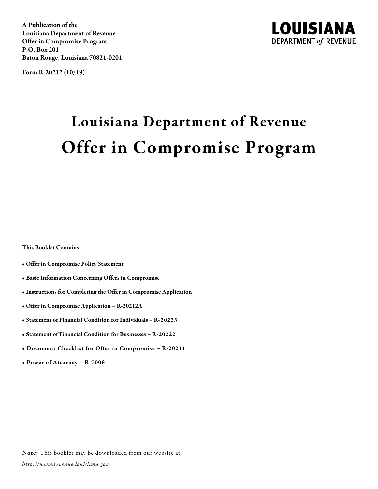A Publication of the Louisiana Department of Revenue Offer in Compromise Program P.O. Box 201 Baton Rouge, Louisiana 70821-0201

Form R-20212 (10/19)



# Louisiana Department of Revenue Offer in Compromise Program

This Booklet Contains:

- Offer in Compromise Policy Statement
- Basic Information Concerning Offers in Compromise
- Instructions for Completing the Offer in Compromise Application
- Offer in Compromise Application R-20212A
- Statement of Financial Condition for Individuals R-20223
- Statement of Financial Condition for Businesses R-20222
- Document Checklist for Offer in Compromise R-20211
- Power of Attorney R-7006

Note: This booklet may be downloaded from our website at *http://www.revenue.louisiana.gov*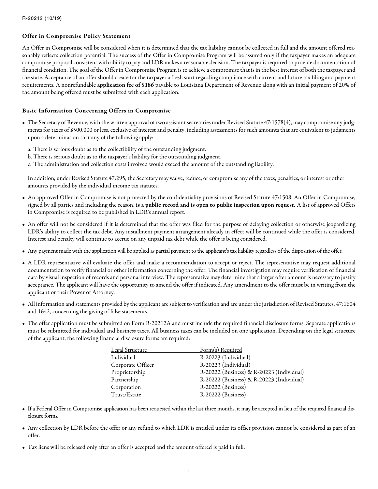## Offer in Compromise Policy Statement

An Offer in Compromise will be considered when it is determined that the tax liability cannot be collected in full and the amount offered reasonably reflects collection potential. The success of the Offer in Compromise Program will be assured only if the taxpayer makes an adequate compromise proposal consistent with ability to pay and LDR makes a reasonable decision. The taxpayer is required to provide documentation of financial condition. The goal of the Offer in Compromise Program is to achieve a compromise that is in the best interest of both the taxpayer and the state. Acceptance of an offer should create for the taxpayer a fresh start regarding compliance with current and future tax filing and payment requirements. A nonrefundable application fee of \$186 payable to Louisiana Department of Revenue along with an initial payment of 20% of the amount being offered must be submitted with each application.

## Basic Information Concerning Offers in Compromise

- The Secretary of Revenue, with the written approval of two assistant secretaries under Revised Statute 47:1578(4), may compromise any judgments for taxes of \$500,000 or less, exclusive of interest and penalty, including assessments for such amounts that are equivalent to judgments upon a determination that any of the following apply:
	- a. There is serious doubt as to the collectibility of the outstanding judgment.
	- b. There is serious doubt as to the taxpayer's liability for the outstanding judgment.
	- c. The administration and collection costs involved would exceed the amount of the outstanding liability.

In addition, under Revised Statute 47:295, the Secretary may waive, reduce, or compromise any of the taxes, penalties, or interest or other amounts provided by the individual income tax statutes.

- An approved Offer in Compromise is not protected by the confidentiality provisions of Revised Statute 47:1508. An Offer in Compromise, signed by all parties and including the reason, is a public record and is open to public inspection upon request. A list of approved Offers in Compromise is required to be published in LDR's annual report.
- An offer will not be considered if it is determined that the offer was filed for the purpose of delaying collection or otherwise jeopardizing LDR's ability to collect the tax debt. Any installment payment arrangement already in effect will be continued while the offer is considered. Interest and penalty will continue to accrue on any unpaid tax debt while the offer is being considered.
- Any payment made with the application will be applied as partial payment to the applicant's tax liability regardless of the disposition of the offer.
- A LDR representative will evaluate the offer and make a recommendation to accept or reject. The representative may request additional documentation to verify financial or other information concerning the offer. The financial investigation may require verification of financial data by visual inspection of records and personal interview. The representative may determine that a larger offer amount is necessary to justify acceptance. The applicant will have the opportunity to amend the offer if indicated. Any amendment to the offer must be in writing from the applicant or their Power of Attorney.
- All information and statements provided by the applicant are subject to verification and are under the jurisdiction of Revised Statutes. 47:1604 and 1642, concerning the giving of false statements.
- The offer application must be submitted on Form R-20212A and must include the required financial disclosure forms. Separate applications must be submitted for individual and business taxes. All business taxes can be included on one application. Depending on the legal structure of the applicant, the following financial disclosure forms are required:

| <b>Legal Structure</b> | Form(s) Required                          |
|------------------------|-------------------------------------------|
| Individual             | R-20223 (Individual)                      |
| Corporate Officer      | R-20223 (Individual)                      |
| Proprietorship         | R-20222 (Business) & R-20223 (Individual) |
| Partnership            | R-20222 (Business) & R-20223 (Individual) |
| Corporation            | R-20222 (Business)                        |
| Trust/Estate           | R-20222 (Business)                        |

- If a Federal Offer in Compromise application has been requested within the last three months, it may be accepted in lieu of the required financial disclosure forms.
- Any collection by LDR before the offer or any refund to which LDR is entitled under its offset provision cannot be considered as part of an offer.
- Tax liens will be released only after an offer is accepted and the amount offered is paid in full.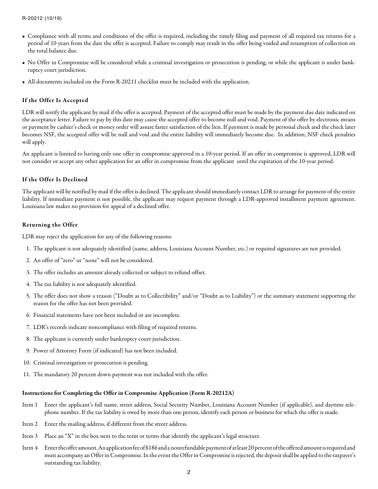- Compliance with all terms and conditions of the offer is required, including the timely filing and payment of all required tax returns for a period of 10 years from the date the offer is accepted. Failure to comply may result in the offer being voided and resumption of collection on the total balance due.
- No Offer in Compromise will be considered while a criminal investigation or prosecution is pending, or while the applicant is under bankruptcy court jurisdiction.
- All documents included on the Form R-20211 checklist must be included with the application.

## If the Offer Is Accepted

LDR will notify the applicant by mail if the offer is accepted. Payment of the accepted offer must be made by the payment due date indicated on the acceptance letter. Failure to pay by this date may cause the accepted offer to become null and void. Payment of the offer by electronic means or payment by cashier's check or money order will assure faster satisfaction of the lien. If payment is made by personal check and the check later becomes NSF, the accepted offer will be null and void and the entire liability will immediately become due. In addition, NSF check penalties will apply.

An applicant is limited to having only one offer in compromise approved in a 10-year period. If an offer in compromise is approved, LDR will not consider or accept any other application for an offer in compromise from the applicant until the expiration of the 10-year period.

### If the Offer Is Declined

The applicant will be notified by mail if the offer is declined. The applicant should immediately contact LDR to arrange for payment of the entire liability. If immediate payment is not possible, the applicant may request payment through a LDR-approved installment payment agreement. Louisiana law makes no provision for appeal of a declined offer.

#### Returning the Offer

LDR may reject the application for any of the following reasons:

- 1. The applicant is not adequately identified (name, address, Louisiana Account Number, etc.) or required signatures are not provided.
- 2. An offer of "zero" or "none" will not be considered.
- 3. The offer includes an amount already collected or subject to refund offset.
- 4. The tax liability is not adequately identified.
- 5. The offer does not show a reason ("Doubt as to Collectibility" and/or "Doubt as to Liability") or the summary statement supporting the reason for the offer has not been provided.
- 6. Financial statements have not been included or are incomplete.
- 7. LDR's records indicate noncompliance with filing of required returns.
- 8. The applicant is currently under bankruptcy court jurisdiction.
- 9. Power of Attorney Form (if indicated) has not been included.
- 10. Criminal investigation or prosecution is pending.
- 11. The mandatory 20 percent down payment was not included with the offer.

#### Instructions for Completing the Offer in Compromise Application (Form R-20212A)

- Item 1 Enter the applicant's full name, street address, Social Security Number, Louisiana Account Number (if applicable), and daytime telephone number. If the tax liability is owed by more than one person, identify each person or business for which the offer is made.
- Item 2 Enter the mailing address, if different from the street address.
- Item 3 Place an "X" in the box next to the term or terms that identify the applicant's legal structure.
- Item 4 Enter the offer amount. An application fee of \$186 and a nonrefundable payment of at least 20 percent of the offered amount is required and must accompany an Offer in Compromise. In the event the Offer in Compromise is rejected, the deposit shall be applied to the taxpayer's outstanding tax liability.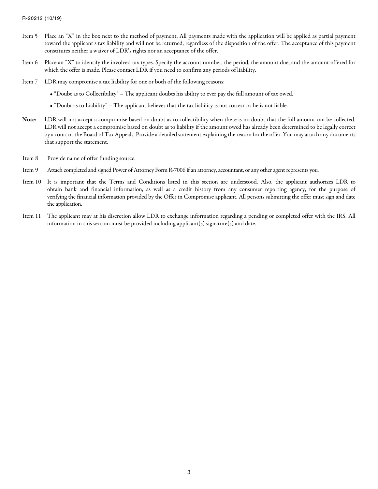- Item 5 Place an "X" in the box next to the method of payment. All payments made with the application will be applied as partial payment toward the applicant's tax liability and will not be returned, regardless of the disposition of the offer. The acceptance of this payment constitutes neither a waiver of LDR's rights nor an acceptance of the offer.
- Item 6 Place an "X" to identify the involved tax types. Specify the account number, the period, the amount due, and the amount offered for which the offer is made. Please contact LDR if you need to confirm any periods of liability.
- Item 7 LDR may compromise a tax liability for one or both of the following reasons:
	- "Doubt as to Collectibility" The applicant doubts his ability to ever pay the full amount of tax owed.
	- "Doubt as to Liability" The applicant believes that the tax liability is not correct or he is not liable.
- Note: LDR will not accept a compromise based on doubt as to collectibility when there is no doubt that the full amount can be collected. LDR will not accept a compromise based on doubt as to liability if the amount owed has already been determined to be legally correct by a court or the Board of Tax Appeals. Provide a detailed statement explaining the reason for the offer. You may attach any documents that support the statement.
- Item 8 Provide name of offer funding source.
- Item 9 Attach completed and signed Power of Attorney Form R-7006 if an attorney, accountant, or any other agent represents you.
- Item 10 It is important that the Terms and Conditions listed in this section are understood. Also, the applicant authorizes LDR to obtain bank and financial information, as well as a credit history from any consumer reporting agency, for the purpose of verifying the financial information provided by the Offer in Compromise applicant. All persons submitting the offer must sign and date the application.
- Item 11 The applicant may at his discretion allow LDR to exchange information regarding a pending or completed offer with the IRS. All information in this section must be provided including applicant(s) signature(s) and date.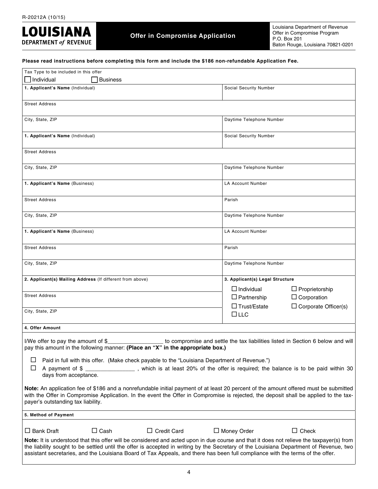

# **Offer in Compromise Application**

Louisiana Department of Revenue Offer in Compromise Program P.O. Box 201 Baton Rouge, Louisiana 70821-0201

**Please read instructions before completing this form and include the \$186 non-refundable Application Fee.**

| Tax Type to be included in this offer                                                                                                                                                                                                                                                                                                                                                                                |                                                                                        |
|----------------------------------------------------------------------------------------------------------------------------------------------------------------------------------------------------------------------------------------------------------------------------------------------------------------------------------------------------------------------------------------------------------------------|----------------------------------------------------------------------------------------|
| $\Box$ Individual<br><b>Business</b>                                                                                                                                                                                                                                                                                                                                                                                 |                                                                                        |
| 1. Applicant's Name (Individual)                                                                                                                                                                                                                                                                                                                                                                                     | Social Security Number                                                                 |
| <b>Street Address</b>                                                                                                                                                                                                                                                                                                                                                                                                |                                                                                        |
| City, State, ZIP                                                                                                                                                                                                                                                                                                                                                                                                     | Daytime Telephone Number                                                               |
| 1. Applicant's Name (Individual)                                                                                                                                                                                                                                                                                                                                                                                     | Social Security Number                                                                 |
| <b>Street Address</b>                                                                                                                                                                                                                                                                                                                                                                                                |                                                                                        |
| City, State, ZIP                                                                                                                                                                                                                                                                                                                                                                                                     | Daytime Telephone Number                                                               |
| 1. Applicant's Name (Business)                                                                                                                                                                                                                                                                                                                                                                                       | LA Account Number                                                                      |
| Street Address                                                                                                                                                                                                                                                                                                                                                                                                       | Parish                                                                                 |
| City, State, ZIP                                                                                                                                                                                                                                                                                                                                                                                                     | Daytime Telephone Number                                                               |
| 1. Applicant's Name (Business)                                                                                                                                                                                                                                                                                                                                                                                       | <b>LA Account Number</b>                                                               |
| <b>Street Address</b>                                                                                                                                                                                                                                                                                                                                                                                                | Parish                                                                                 |
| City, State, ZIP                                                                                                                                                                                                                                                                                                                                                                                                     | Daytime Telephone Number                                                               |
| 2. Applicant(s) Mailing Address (If different from above)                                                                                                                                                                                                                                                                                                                                                            | 3. Applicant(s) Legal Structure                                                        |
| <b>Street Address</b>                                                                                                                                                                                                                                                                                                                                                                                                | $\Box$ Individual<br>$\Box$ Proprietorship<br>$\Box$ Partnership<br>$\Box$ Corporation |
| City, State, ZIP                                                                                                                                                                                                                                                                                                                                                                                                     | $\Box$ Trust/Estate<br>$\Box$ Corporate Officer(s)<br>$\Box$ LLC                       |
| 4. Offer Amount                                                                                                                                                                                                                                                                                                                                                                                                      |                                                                                        |
| I/We offer to pay the amount of \$<br>pay this amount in the following manner: (Place an "X" in the appropriate box.)                                                                                                                                                                                                                                                                                                | to compromise and settle the tax liabilities listed in Section 6 below and will        |
| ப<br>Paid in full with this offer. (Make check payable to the "Louisiana Department of Revenue.")<br>ப<br>A payment of \$<br>days from acceptance.                                                                                                                                                                                                                                                                   | , which is at least 20% of the offer is required; the balance is to be paid within 30  |
| Note: An application fee of \$186 and a nonrefundable initial payment of at least 20 percent of the amount offered must be submitted<br>with the Offer in Compromise Application. In the event the Offer in Compromise is rejected, the deposit shall be applied to the tax-<br>payer's outstanding tax liability.                                                                                                   |                                                                                        |
| 5. Method of Payment                                                                                                                                                                                                                                                                                                                                                                                                 |                                                                                        |
| $\Box$ Credit Card<br>$\Box$ Bank Draft<br>$\Box$ Cash                                                                                                                                                                                                                                                                                                                                                               | $\Box$ Check<br>$\Box$ Money Order                                                     |
| Note: It is understood that this offer will be considered and acted upon in due course and that it does not relieve the taxpayer(s) from<br>the liability sought to be settled until the offer is accepted in writing by the Secretary of the Louisiana Department of Revenue, two<br>assistant secretaries, and the Louisiana Board of Tax Appeals, and there has been full compliance with the terms of the offer. |                                                                                        |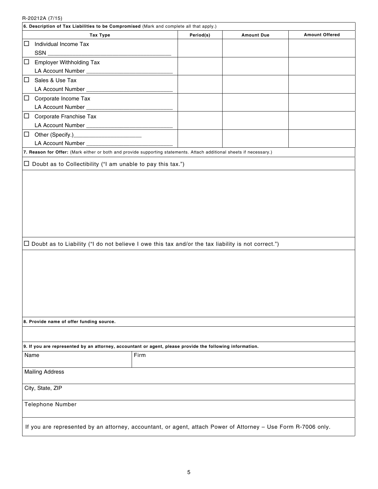R-20212A (7/15)

|        | 11202127 (119)<br>6. Description of Tax Liabilities to be Compromised (Mark and complete all that apply.)                                                                                                                             |           |                   |                       |  |  |  |
|--------|---------------------------------------------------------------------------------------------------------------------------------------------------------------------------------------------------------------------------------------|-----------|-------------------|-----------------------|--|--|--|
|        | <b>Tax Type</b>                                                                                                                                                                                                                       | Period(s) | <b>Amount Due</b> | <b>Amount Offered</b> |  |  |  |
| □      | Individual Income Tax                                                                                                                                                                                                                 |           |                   |                       |  |  |  |
|        | SSN_<br><u>.</u>                                                                                                                                                                                                                      |           |                   |                       |  |  |  |
| □      | <b>Employer Withholding Tax</b>                                                                                                                                                                                                       |           |                   |                       |  |  |  |
|        |                                                                                                                                                                                                                                       |           |                   |                       |  |  |  |
| □      | Sales & Use Tax                                                                                                                                                                                                                       |           |                   |                       |  |  |  |
|        |                                                                                                                                                                                                                                       |           |                   |                       |  |  |  |
|        |                                                                                                                                                                                                                                       |           |                   |                       |  |  |  |
| $\Box$ | Corporate Income Tax                                                                                                                                                                                                                  |           |                   |                       |  |  |  |
|        |                                                                                                                                                                                                                                       |           |                   |                       |  |  |  |
| □      | Corporate Franchise Tax                                                                                                                                                                                                               |           |                   |                       |  |  |  |
|        |                                                                                                                                                                                                                                       |           |                   |                       |  |  |  |
| □      | Other (Specify.)<br><u>Character and</u> Character and Character and Character and Character and Character and Character and Character and Character and Character and Character and Character and Character and Character and Charac |           |                   |                       |  |  |  |
|        |                                                                                                                                                                                                                                       |           |                   |                       |  |  |  |
|        | 7. Reason for Offer: (Mark either or both and provide supporting statements. Attach additional sheets if necessary.)                                                                                                                  |           |                   |                       |  |  |  |
|        | $\Box$ Doubt as to Collectibility ("I am unable to pay this tax.")                                                                                                                                                                    |           |                   |                       |  |  |  |
|        |                                                                                                                                                                                                                                       |           |                   |                       |  |  |  |
|        |                                                                                                                                                                                                                                       |           |                   |                       |  |  |  |
|        |                                                                                                                                                                                                                                       |           |                   |                       |  |  |  |
|        |                                                                                                                                                                                                                                       |           |                   |                       |  |  |  |
|        |                                                                                                                                                                                                                                       |           |                   |                       |  |  |  |
|        |                                                                                                                                                                                                                                       |           |                   |                       |  |  |  |
|        |                                                                                                                                                                                                                                       |           |                   |                       |  |  |  |
|        |                                                                                                                                                                                                                                       |           |                   |                       |  |  |  |
|        |                                                                                                                                                                                                                                       |           |                   |                       |  |  |  |
|        | $\Box$ Doubt as to Liability ("I do not believe I owe this tax and/or the tax liability is not correct.")                                                                                                                             |           |                   |                       |  |  |  |
|        |                                                                                                                                                                                                                                       |           |                   |                       |  |  |  |
|        |                                                                                                                                                                                                                                       |           |                   |                       |  |  |  |
|        |                                                                                                                                                                                                                                       |           |                   |                       |  |  |  |
|        |                                                                                                                                                                                                                                       |           |                   |                       |  |  |  |
|        |                                                                                                                                                                                                                                       |           |                   |                       |  |  |  |
|        |                                                                                                                                                                                                                                       |           |                   |                       |  |  |  |
|        |                                                                                                                                                                                                                                       |           |                   |                       |  |  |  |
|        |                                                                                                                                                                                                                                       |           |                   |                       |  |  |  |
|        | 8. Provide name of offer funding source.                                                                                                                                                                                              |           |                   |                       |  |  |  |
|        |                                                                                                                                                                                                                                       |           |                   |                       |  |  |  |
|        |                                                                                                                                                                                                                                       |           |                   |                       |  |  |  |
|        | 9. If you are represented by an attorney, accountant or agent, please provide the following information.                                                                                                                              |           |                   |                       |  |  |  |
| Name   |                                                                                                                                                                                                                                       | Firm      |                   |                       |  |  |  |
|        |                                                                                                                                                                                                                                       |           |                   |                       |  |  |  |
|        | <b>Mailing Address</b>                                                                                                                                                                                                                |           |                   |                       |  |  |  |
|        |                                                                                                                                                                                                                                       |           |                   |                       |  |  |  |
|        | City, State, ZIP                                                                                                                                                                                                                      |           |                   |                       |  |  |  |
|        |                                                                                                                                                                                                                                       |           |                   |                       |  |  |  |
|        | Telephone Number                                                                                                                                                                                                                      |           |                   |                       |  |  |  |
|        |                                                                                                                                                                                                                                       |           |                   |                       |  |  |  |
|        |                                                                                                                                                                                                                                       |           |                   |                       |  |  |  |
|        | If you are represented by an attorney, accountant, or agent, attach Power of Attorney - Use Form R-7006 only.                                                                                                                         |           |                   |                       |  |  |  |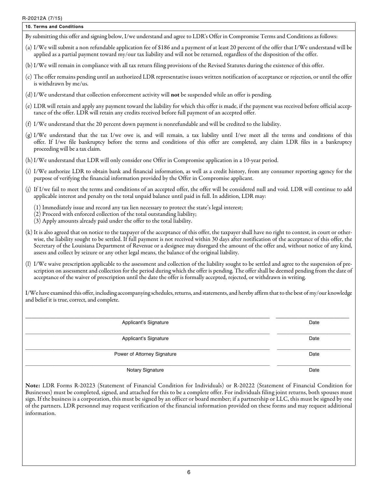and belief it is true, correct, and complete.

| $T^2$ $\leq$ $0$ $\leq$ $1$ $\leq$ $R$ $(1)$ $(3)$                                                                                                                                                                                                                                                                                                                                                                                                                                                                                                   |
|------------------------------------------------------------------------------------------------------------------------------------------------------------------------------------------------------------------------------------------------------------------------------------------------------------------------------------------------------------------------------------------------------------------------------------------------------------------------------------------------------------------------------------------------------|
| 10. Terms and Conditions                                                                                                                                                                                                                                                                                                                                                                                                                                                                                                                             |
| By submitting this offer and signing below, I/we understand and agree to LDR's Offer in Compromise Terms and Conditions as follows:                                                                                                                                                                                                                                                                                                                                                                                                                  |
| (a) I/We will submit a non refundable application fee of \$186 and a payment of at least 20 percent of the offer that I/We understand will be<br>applied as a partial payment toward my/our tax liability and will not be returned, regardless of the disposition of the offer.                                                                                                                                                                                                                                                                      |
| (b) I/We will remain in compliance with all tax return filing provisions of the Revised Statutes during the existence of this offer.                                                                                                                                                                                                                                                                                                                                                                                                                 |
| (c) The offer remains pending until an authorized LDR representative issues written notification of acceptance or rejection, or until the offer<br>is withdrawn by me/us.                                                                                                                                                                                                                                                                                                                                                                            |
| (d) I/We understand that collection enforcement activity will <b>not</b> be suspended while an offer is pending.                                                                                                                                                                                                                                                                                                                                                                                                                                     |
| (e) LDR will retain and apply any payment toward the liability for which this offer is made, if the payment was received before official accep-<br>tance of the offer. LDR will retain any credits received before full payment of an accepted offer.                                                                                                                                                                                                                                                                                                |
| (f) I/We understand that the 20 percent down payment is nonrefundable and will be credited to the liability.                                                                                                                                                                                                                                                                                                                                                                                                                                         |
| (g) I/We understand that the tax I/we owe is, and will remain, a tax liability until I/we meet all the terms and conditions of this<br>offer. If I/we file bankruptcy before the terms and conditions of this offer are completed, any claim LDR files in a bankruptcy<br>proceeding will be a tax claim.                                                                                                                                                                                                                                            |
| (h) I/We understand that LDR will only consider one Offer in Compromise application in a 10-year period.                                                                                                                                                                                                                                                                                                                                                                                                                                             |
| (i) I/We authorize LDR to obtain bank and financial information, as well as a credit history, from any consumer reporting agency for the<br>purpose of verifying the financial information provided by the Offer in Compromise applicant.                                                                                                                                                                                                                                                                                                            |
| (j) If I/we fail to meet the terms and conditions of an accepted offer, the offer will be considered null and void. LDR will continue to add<br>applicable interest and penalty on the total unpaid balance until paid in full. In addition, LDR may:                                                                                                                                                                                                                                                                                                |
| (1) Immediately issue and record any tax lien necessary to protect the state's legal interest;<br>(2) Proceed with enforced collection of the total outstanding liability;<br>(3) Apply amounts already paid under the offer to the total liability.                                                                                                                                                                                                                                                                                                 |
| (k) It is also agreed that on notice to the taxpayer of the acceptance of this offer, the taxpayer shall have no right to contest, in court or other-<br>wise, the liability sought to be settled. If full payment is not received within 30 days after notification of the acceptance of this offer, the<br>Secretary of the Louisiana Department of Revenue or a designee may disregard the amount of the offer and, without notice of any kind,<br>assess and collect by seizure or any other legal means, the balance of the original liability. |
| (l) I/We waive prescription applicable to the assessment and collection of the liability sought to be settled and agree to the suspension of pre-<br>scription on assessment and collection for the period during which the offer is pending. The offer shall be deemed pending from the date of<br>acceptance of the waiver of prescription until the date the offer is formally accepted, rejected, or withdrawn in writing.                                                                                                                       |
| I/We have examined this offer, including accompanying schedules, returns, and statements, and hereby affirm that to the best of my/our knowledge                                                                                                                                                                                                                                                                                                                                                                                                     |

| Applicant's Signature       | Date |
|-----------------------------|------|
| Applicant's Signature       | Date |
| Power of Attorney Signature | Date |

Notary Signature Date **Date** 

Note: LDR Forms R-20223 (Statement of Financial Condition for Individuals) or R-20222 (Statement of Financial Condition for Businesses) must be completed, signed, and attached for this to be a complete offer. For individuals filing joint returns, both spouses must sign. If the business is a corporation, this must be signed by an officer or board member; if a partnership or LLC, this must be signed by one of the partners. LDR personnel may request verification of the financial information provided on these forms and may request additional information.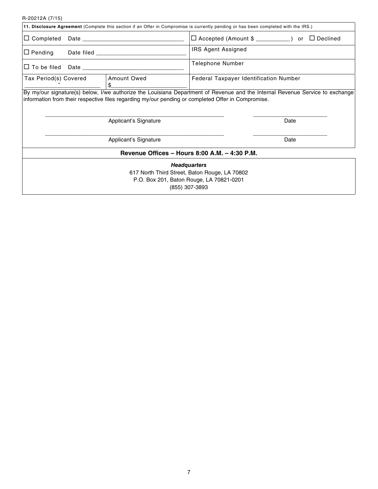R-20212A (7/15)

| 11. Disclosure Agreement (Complete this section if an Offer in Compromise is currently pending or has been completed with the IRS.) |                                                                                                                                       |  |  |  |  |
|-------------------------------------------------------------------------------------------------------------------------------------|---------------------------------------------------------------------------------------------------------------------------------------|--|--|--|--|
| $\Box$ Completed                                                                                                                    | $\Box$ Accepted (Amount \$ __________) or $\Box$ Declined                                                                             |  |  |  |  |
| $\Box$ Pending                                                                                                                      | <b>IRS Agent Assigned</b>                                                                                                             |  |  |  |  |
|                                                                                                                                     | <b>Telephone Number</b>                                                                                                               |  |  |  |  |
| Amount Owed<br>Tax Period(s) Covered                                                                                                | Federal Taxpayer Identification Number                                                                                                |  |  |  |  |
| information from their respective files regarding my/our pending or completed Offer in Compromise.<br>Applicant's Signature         | By my/our signature(s) below, I/we authorize the Louisiana Department of Revenue and the Internal Revenue Service to exchange<br>Date |  |  |  |  |
| Applicant's Signature                                                                                                               | Date                                                                                                                                  |  |  |  |  |
|                                                                                                                                     | Revenue Offices - Hours 8:00 A.M. - 4:30 P.M.                                                                                         |  |  |  |  |
| P.O. Box 201, Baton Rouge, LA 70821-0201<br>(855) 307-3893                                                                          | <b>Headquarters</b><br>617 North Third Street, Baton Rouge, LA 70802                                                                  |  |  |  |  |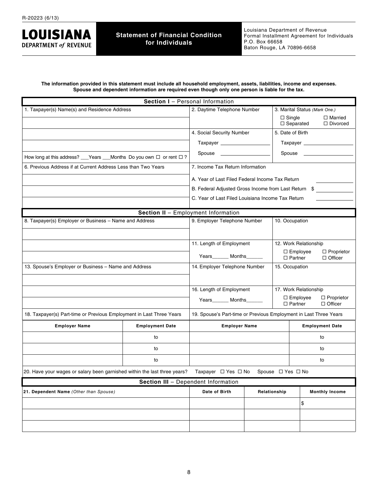**LOUISIANA DEPARTMENT of REVENUE** 

**The information provided in this statement must include all household employment, assets, liabilities, income and expenses. Spouse and dependent information are required even though only one person is liable for the tax.**

|                                                                           | Section I - Personal Information    |                                                                   |                     |                             |                                         |                                     |  |
|---------------------------------------------------------------------------|-------------------------------------|-------------------------------------------------------------------|---------------------|-----------------------------|-----------------------------------------|-------------------------------------|--|
| 1. Taxpayer(s) Name(s) and Residence Address                              |                                     | 2. Daytime Telephone Number                                       |                     |                             | 3. Marital Status (Mark One.)           |                                     |  |
|                                                                           |                                     |                                                                   |                     |                             | $\Box$ Single<br>$\Box$ Separated       | $\Box$ Married<br>$\Box$ Divorced   |  |
|                                                                           |                                     | 4. Social Security Number                                         |                     |                             |                                         |                                     |  |
|                                                                           |                                     |                                                                   |                     |                             |                                         | Taxpayer __________________         |  |
| How long at this address? __Years __Months Do you own □ or rent □ ?       |                                     |                                                                   | Spouse ____________ |                             |                                         |                                     |  |
| 6. Previous Address if at Current Address Less than Two Years             |                                     | 7. Income Tax Return Information                                  |                     |                             |                                         |                                     |  |
|                                                                           |                                     | A. Year of Last Filed Federal Income Tax Return                   |                     |                             |                                         |                                     |  |
|                                                                           |                                     | B. Federal Adjusted Gross Income from Last Return                 |                     |                             | \$                                      |                                     |  |
|                                                                           |                                     | C. Year of Last Filed Louisiana Income Tax Return                 |                     |                             |                                         |                                     |  |
|                                                                           | Section II - Employment Information |                                                                   |                     |                             |                                         |                                     |  |
| 8. Taxpayer(s) Employer or Business - Name and Address                    |                                     | 9. Employer Telephone Number                                      |                     | 10. Occupation              |                                         |                                     |  |
|                                                                           |                                     |                                                                   |                     |                             |                                         |                                     |  |
|                                                                           | 11. Length of Employment            |                                                                   |                     | 12. Work Relationship       |                                         |                                     |  |
|                                                                           |                                     |                                                                   |                     |                             | $\square$ Employee<br>$\Box$ Proprietor |                                     |  |
|                                                                           |                                     | Years Months                                                      |                     | $\Box$ Partner              |                                         | $\Box$ Officer                      |  |
| 13. Spouse's Employer or Business - Name and Address                      |                                     | 14. Employer Telephone Number<br>15. Occupation                   |                     |                             |                                         |                                     |  |
|                                                                           |                                     |                                                                   |                     |                             |                                         |                                     |  |
|                                                                           |                                     | 16. Length of Employment                                          |                     | 17. Work Relationship       |                                         |                                     |  |
|                                                                           |                                     | Years_______ Months______<br>$\Box$ Partner                       |                     |                             | $\Box$ Employee                         | $\Box$ Proprietor<br>$\Box$ Officer |  |
| 18. Taxpayer(s) Part-time or Previous Employment in Last Three Years      |                                     | 19. Spouse's Part-time or Previous Employment in Last Three Years |                     |                             |                                         |                                     |  |
| <b>Employer Name</b>                                                      | <b>Employment Date</b>              | <b>Employer Name</b>                                              |                     |                             |                                         | <b>Employment Date</b>              |  |
|                                                                           | to                                  |                                                                   |                     |                             |                                         | to                                  |  |
|                                                                           | to                                  |                                                                   |                     |                             |                                         | to                                  |  |
|                                                                           | to                                  | to                                                                |                     |                             |                                         |                                     |  |
| 20. Have your wages or salary been garnished within the last three years? |                                     | Taxpayer $\Box$ Yes $\Box$ No                                     |                     | Spouse $\Box$ Yes $\Box$ No |                                         |                                     |  |
|                                                                           | Section III - Dependent Information |                                                                   |                     |                             |                                         |                                     |  |
| 21. Dependent Name (Other than Spouse)                                    |                                     | Date of Birth                                                     | Relationship        |                             |                                         | <b>Monthly Income</b>               |  |
|                                                                           |                                     |                                                                   |                     |                             | \$                                      |                                     |  |
|                                                                           |                                     |                                                                   |                     |                             |                                         |                                     |  |
|                                                                           |                                     |                                                                   |                     |                             |                                         |                                     |  |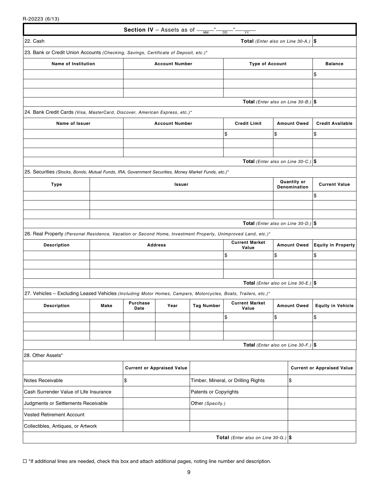R-20223 (6/13)

|                                                                                                                |      |                                                 | Section IV - Assets as of -       | <b>MM</b>             | <b>DD</b><br>YY                                |                    |                                    |                                   |
|----------------------------------------------------------------------------------------------------------------|------|-------------------------------------------------|-----------------------------------|-----------------------|------------------------------------------------|--------------------|------------------------------------|-----------------------------------|
| 22. Cash                                                                                                       |      |                                                 |                                   |                       | Total (Enter also on Line 30-A.) $\vert \$     |                    |                                    |                                   |
| 23. Bank or Credit Union Accounts (Checking, Savings, Certificate of Deposit, etc.)*                           |      |                                                 |                                   |                       |                                                |                    |                                    |                                   |
| Name of Institution                                                                                            |      | <b>Account Number</b><br><b>Type of Account</b> |                                   |                       |                                                |                    |                                    | <b>Balance</b>                    |
|                                                                                                                |      |                                                 |                                   |                       |                                                |                    |                                    | \$                                |
|                                                                                                                |      |                                                 |                                   |                       |                                                |                    |                                    |                                   |
|                                                                                                                |      |                                                 |                                   |                       |                                                |                    |                                    |                                   |
|                                                                                                                |      |                                                 |                                   |                       | Total (Enter also on Line 30-B.) $ \$$         |                    |                                    |                                   |
| 24. Bank Credit Cards (Visa, MasterCard, Discover, American Express, etc.)*                                    |      |                                                 |                                   |                       |                                                |                    |                                    |                                   |
| Name of Issuer                                                                                                 |      |                                                 | <b>Account Number</b>             |                       | <b>Credit Limit</b>                            | <b>Amount Owed</b> |                                    | <b>Credit Available</b>           |
|                                                                                                                |      |                                                 |                                   |                       | \$                                             | \$                 |                                    | \$                                |
|                                                                                                                |      |                                                 |                                   |                       |                                                |                    |                                    |                                   |
|                                                                                                                |      |                                                 |                                   |                       | Total (Enter also on Line 30-C.) $\frac{1}{9}$ |                    |                                    |                                   |
| 25. Securities (Stocks, Bonds, Mutual Funds, IRA, Government Securities, Money Market Funds, etc.)*            |      |                                                 |                                   |                       |                                                |                    |                                    |                                   |
| <b>Type</b>                                                                                                    |      |                                                 | Issuer                            |                       |                                                |                    | <b>Quantity or</b><br>Denomination | <b>Current Value</b>              |
|                                                                                                                |      |                                                 |                                   |                       |                                                |                    |                                    | \$                                |
|                                                                                                                |      |                                                 |                                   |                       |                                                |                    |                                    |                                   |
|                                                                                                                |      |                                                 |                                   |                       |                                                |                    |                                    |                                   |
|                                                                                                                |      |                                                 |                                   |                       | Total (Enter also on Line 30-D.) $ \$$         |                    |                                    |                                   |
| 26. Real Property (Personal Residence, Vacation or Second Home, Investment Property, Unimproved Land, etc.)*   |      |                                                 |                                   |                       | <b>Current Market</b>                          |                    |                                    |                                   |
| <b>Description</b>                                                                                             |      |                                                 | <b>Address</b>                    |                       | Value                                          | <b>Amount Owed</b> |                                    | <b>Equity in Property</b>         |
|                                                                                                                |      |                                                 |                                   |                       | \$                                             | \$                 |                                    | \$                                |
|                                                                                                                |      |                                                 |                                   |                       |                                                |                    |                                    |                                   |
|                                                                                                                |      |                                                 |                                   |                       | Total (Enter also on Line 30-E.) $ \$$         |                    |                                    |                                   |
| 27. Vehicles - Excluding Leased Vehicles (Including Motor Homes, Campers, Motorcycles, Boats, Trailers, etc.)* |      |                                                 |                                   |                       |                                                |                    |                                    |                                   |
| <b>Description</b>                                                                                             | Make | Purchase<br>Date                                | Year                              | <b>Tag Number</b>     | <b>Current Market</b><br>Value                 |                    | <b>Amount Owed</b>                 | <b>Equity in Vehicle</b>          |
|                                                                                                                |      |                                                 |                                   |                       | \$                                             | \$                 |                                    | \$                                |
|                                                                                                                |      |                                                 |                                   |                       |                                                |                    |                                    |                                   |
|                                                                                                                |      |                                                 |                                   |                       |                                                |                    |                                    |                                   |
| 28. Other Assets*                                                                                              |      |                                                 |                                   |                       | Total (Enter also on Line 30-F.) $ \$$         |                    |                                    |                                   |
|                                                                                                                |      |                                                 |                                   |                       |                                                |                    |                                    |                                   |
|                                                                                                                |      |                                                 | <b>Current or Appraised Value</b> |                       |                                                |                    |                                    | <b>Current or Appraised Value</b> |
| Notes Receivable                                                                                               |      | \$                                              |                                   |                       | Timber, Mineral, or Drilling Rights            |                    | \$                                 |                                   |
| Cash Surrender Value of Life Insurance                                                                         |      |                                                 |                                   | Patents or Copyrights |                                                |                    |                                    |                                   |
| Judgments or Settlements Receivable                                                                            |      |                                                 |                                   | Other (Specify.)      |                                                |                    |                                    |                                   |
| <b>Vested Retirement Account</b>                                                                               |      |                                                 |                                   |                       |                                                |                    |                                    |                                   |
| Collectibles, Antiques, or Artwork                                                                             |      |                                                 |                                   |                       |                                                |                    |                                    |                                   |
|                                                                                                                |      |                                                 |                                   |                       | <b>Total</b> (Enter also on Line 30-G.) $ \$$  |                    |                                    |                                   |
|                                                                                                                |      |                                                 |                                   |                       |                                                |                    |                                    |                                   |

 $\Box$  \*If additional lines are needed, check this box and attach additional pages, noting line number and description.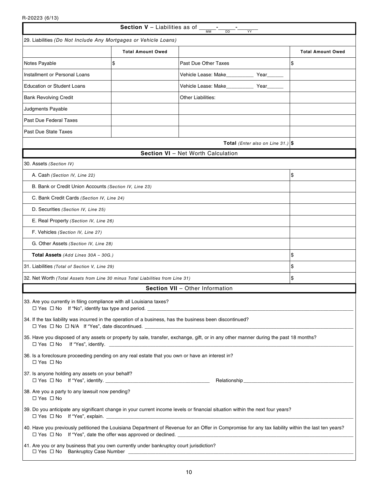R-20223 (6/13)

 $\perp$ 

| <b>Section V</b> – Liabilities as of $\frac{1}{\text{mm}}$<br><b>DD</b><br>YY                                                                |                          |                                                                                                                                                    |                          |  |  |
|----------------------------------------------------------------------------------------------------------------------------------------------|--------------------------|----------------------------------------------------------------------------------------------------------------------------------------------------|--------------------------|--|--|
| 29. Liabilities (Do Not Include Any Mortgages or Vehicle Loans)                                                                              |                          |                                                                                                                                                    |                          |  |  |
|                                                                                                                                              | <b>Total Amount Owed</b> |                                                                                                                                                    | <b>Total Amount Owed</b> |  |  |
| Notes Payable                                                                                                                                | \$                       | Past Due Other Taxes                                                                                                                               | \$                       |  |  |
| Installment or Personal Loans                                                                                                                |                          | Vehicle Lease: Make Year                                                                                                                           |                          |  |  |
| <b>Education or Student Loans</b>                                                                                                            |                          | Vehicle Lease: Make_____________ Year____                                                                                                          |                          |  |  |
| <b>Bank Revolving Credit</b>                                                                                                                 |                          | Other Liabilities:                                                                                                                                 |                          |  |  |
| Judgments Payable                                                                                                                            |                          |                                                                                                                                                    |                          |  |  |
| Past Due Federal Taxes                                                                                                                       |                          |                                                                                                                                                    |                          |  |  |
| Past Due State Taxes                                                                                                                         |                          |                                                                                                                                                    |                          |  |  |
|                                                                                                                                              |                          | <b>Total</b> (Enter also on Line 31.) $\$                                                                                                          |                          |  |  |
|                                                                                                                                              |                          | Section VI - Net Worth Calculation                                                                                                                 |                          |  |  |
| 30. Assets (Section IV)                                                                                                                      |                          |                                                                                                                                                    |                          |  |  |
| A. Cash (Section IV, Line 22)                                                                                                                |                          |                                                                                                                                                    | \$                       |  |  |
| B. Bank or Credit Union Accounts (Section IV, Line 23)                                                                                       |                          |                                                                                                                                                    |                          |  |  |
| C. Bank Credit Cards (Section IV, Line 24)                                                                                                   |                          |                                                                                                                                                    |                          |  |  |
| D. Securities (Section IV, Line 25)                                                                                                          |                          |                                                                                                                                                    |                          |  |  |
| E. Real Property (Section IV, Line 26)                                                                                                       |                          |                                                                                                                                                    |                          |  |  |
| F. Vehicles (Section IV, Line 27)                                                                                                            |                          |                                                                                                                                                    |                          |  |  |
| G. Other Assets (Section IV, Line 28)                                                                                                        |                          |                                                                                                                                                    |                          |  |  |
| Total Assets (Add Lines 30A - 30G.)                                                                                                          | \$                       |                                                                                                                                                    |                          |  |  |
| 31. Liabilities (Total of Section V, Line 29)                                                                                                |                          |                                                                                                                                                    | \$                       |  |  |
| 32. Net Worth (Total Assets from Line 30 minus Total Liabilities from Line 31)                                                               |                          |                                                                                                                                                    | \$                       |  |  |
|                                                                                                                                              |                          | Section VII - Other Information                                                                                                                    |                          |  |  |
| 33. Are you currently in filing compliance with all Louisiana taxes?<br>$\Box$ Yes $\Box$ No If "No", identify tax type and period. ________ |                          |                                                                                                                                                    |                          |  |  |
| 34. If the tax liability was incurred in the operation of a business, has the business been discontinued?                                    |                          |                                                                                                                                                    |                          |  |  |
|                                                                                                                                              |                          | 35. Have you disposed of any assets or property by sale, transfer, exchange, gift, or in any other manner during the past 18 months?               |                          |  |  |
| 36. Is a foreclosure proceeding pending on any real estate that you own or have an interest in?<br>$\Box$ Yes $\Box$ No                      |                          |                                                                                                                                                    |                          |  |  |
| 37. Is anyone holding any assets on your behalf?                                                                                             |                          |                                                                                                                                                    |                          |  |  |
| 38. Are you a party to any lawsuit now pending?<br>$\Box$ Yes $\Box$ No                                                                      |                          |                                                                                                                                                    |                          |  |  |
|                                                                                                                                              |                          | 39. Do you anticipate any significant change in your current income levels or financial situation within the next four years?                      |                          |  |  |
|                                                                                                                                              |                          | 40. Have you previously petitioned the Louisiana Department of Revenue for an Offer in Compromise for any tax liability within the last ten years? |                          |  |  |
| 41. Are you or any business that you own currently under bankruptcy court jurisdiction?<br>□ Yes □ No Bankruptcy Case Number ___________     |                          |                                                                                                                                                    |                          |  |  |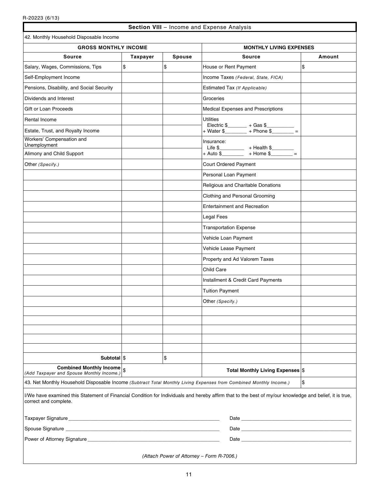## **Section VIII** – Income and Expense Analysis

1

| 42. Monthly Household Disposable Income                                                                            |                 |        |                                                                                                                                                         |        |  |  |  |
|--------------------------------------------------------------------------------------------------------------------|-----------------|--------|---------------------------------------------------------------------------------------------------------------------------------------------------------|--------|--|--|--|
| <b>GROSS MONTHLY INCOME</b>                                                                                        |                 |        | <b>MONTHLY LIVING EXPENSES</b>                                                                                                                          |        |  |  |  |
| <b>Source</b>                                                                                                      | <b>Taxpayer</b> | Spouse | <b>Source</b>                                                                                                                                           | Amount |  |  |  |
| Salary, Wages, Commissions, Tips                                                                                   | \$              | \$     | House or Rent Payment                                                                                                                                   | \$     |  |  |  |
| Self-Employment Income                                                                                             |                 |        | Income Taxes (Federal, State, FICA)                                                                                                                     |        |  |  |  |
| Pensions, Disability, and Social Security                                                                          |                 |        | Estimated Tax (If Applicable)                                                                                                                           |        |  |  |  |
| Dividends and Interest                                                                                             |                 |        | Groceries                                                                                                                                               |        |  |  |  |
| Gift or Loan Proceeds                                                                                              |                 |        | Medical Expenses and Prescriptions                                                                                                                      |        |  |  |  |
| Rental Income                                                                                                      |                 |        | <b>Utilities</b>                                                                                                                                        |        |  |  |  |
| Estate, Trust, and Royalty Income                                                                                  |                 |        | Electric \$_________ + Gas \$__________<br>+ Water \$_________ + Phone \$________ =                                                                     |        |  |  |  |
| Workers' Compensation and<br>Unemployment                                                                          |                 |        | Insurance:                                                                                                                                              |        |  |  |  |
| Alimony and Child Support                                                                                          |                 |        |                                                                                                                                                         |        |  |  |  |
| Other (Specify.)                                                                                                   |                 |        | <b>Court Ordered Payment</b>                                                                                                                            |        |  |  |  |
|                                                                                                                    |                 |        | Personal Loan Payment                                                                                                                                   |        |  |  |  |
|                                                                                                                    |                 |        | Religious and Charitable Donations                                                                                                                      |        |  |  |  |
|                                                                                                                    |                 |        | Clothing and Personal Grooming                                                                                                                          |        |  |  |  |
|                                                                                                                    |                 |        | <b>Entertainment and Recreation</b>                                                                                                                     |        |  |  |  |
|                                                                                                                    |                 |        | Legal Fees                                                                                                                                              |        |  |  |  |
|                                                                                                                    |                 |        | <b>Transportation Expense</b>                                                                                                                           |        |  |  |  |
|                                                                                                                    |                 |        | Vehicle Loan Payment                                                                                                                                    |        |  |  |  |
|                                                                                                                    |                 |        | Vehicle Lease Payment                                                                                                                                   |        |  |  |  |
|                                                                                                                    |                 |        | Property and Ad Valorem Taxes                                                                                                                           |        |  |  |  |
|                                                                                                                    |                 |        | <b>Child Care</b>                                                                                                                                       |        |  |  |  |
|                                                                                                                    |                 |        | Installment & Credit Card Payments                                                                                                                      |        |  |  |  |
|                                                                                                                    |                 |        | <b>Tuition Payment</b>                                                                                                                                  |        |  |  |  |
|                                                                                                                    |                 |        | Other (Specify.)                                                                                                                                        |        |  |  |  |
|                                                                                                                    |                 |        |                                                                                                                                                         |        |  |  |  |
|                                                                                                                    |                 |        |                                                                                                                                                         |        |  |  |  |
|                                                                                                                    |                 |        |                                                                                                                                                         |        |  |  |  |
|                                                                                                                    |                 |        |                                                                                                                                                         |        |  |  |  |
|                                                                                                                    |                 |        |                                                                                                                                                         |        |  |  |  |
| Subtotal \\$<br>Combined Monthly Income $ $ \$                                                                     |                 | \$     |                                                                                                                                                         |        |  |  |  |
| (Add Taxpayer and Spouse Monthly Income.)                                                                          |                 |        | Total Monthly Living Expenses \$                                                                                                                        |        |  |  |  |
| 43. Net Monthly Household Disposable Income (Subtract Total Monthly Living Expenses from Combined Monthly Income.) |                 |        |                                                                                                                                                         | \$     |  |  |  |
| correct and complete.                                                                                              |                 |        | I/We have examined this Statement of Financial Condition for Individuals and hereby affirm that to the best of my/our knowledge and belief, it is true, |        |  |  |  |
|                                                                                                                    |                 |        |                                                                                                                                                         |        |  |  |  |
|                                                                                                                    |                 |        |                                                                                                                                                         |        |  |  |  |
|                                                                                                                    |                 |        |                                                                                                                                                         |        |  |  |  |
| (Attach Power of Attorney - Form R-7006.)                                                                          |                 |        |                                                                                                                                                         |        |  |  |  |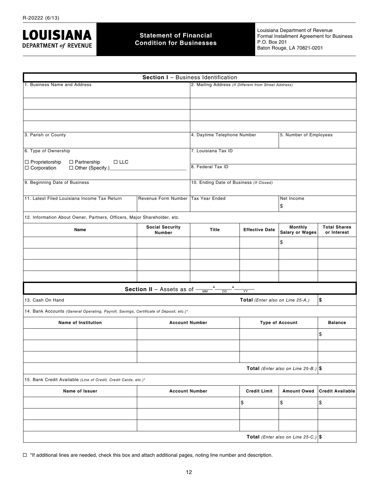

## **Statement of Financial Condition for Businesses**

Louisiana Department of Revenue Formal Installment Agreement for Business P.O. Box 201 Baton Rouge, LA 70821-0201

|                                                                                                  |                                                       | Section I - Business Identification                   |                                  |                                                |                                    |  |
|--------------------------------------------------------------------------------------------------|-------------------------------------------------------|-------------------------------------------------------|----------------------------------|------------------------------------------------|------------------------------------|--|
| 1. Business Name and Address                                                                     |                                                       | 2. Mailing Address (If Different from Street Address) |                                  |                                                |                                    |  |
|                                                                                                  |                                                       |                                                       |                                  |                                                |                                    |  |
|                                                                                                  |                                                       |                                                       |                                  |                                                |                                    |  |
|                                                                                                  |                                                       |                                                       |                                  |                                                |                                    |  |
|                                                                                                  |                                                       |                                                       |                                  |                                                |                                    |  |
| 3. Parish or County                                                                              |                                                       | 4. Daytime Telephone Number<br>5. Number of Employees |                                  |                                                |                                    |  |
| 6. Type of Ownership                                                                             | 7. Louisiana Tax ID                                   |                                                       |                                  |                                                |                                    |  |
| $\Box$ Proprietorship<br>$\Box$ Partnership<br>$\Box$ LLC<br>□ Corporation<br>□ Other (Specify.) |                                                       | 8. Federal Tax ID                                     |                                  |                                                |                                    |  |
| 9. Beginning Date of Business                                                                    |                                                       | 10. Ending Date of Business (If Closed)               |                                  |                                                |                                    |  |
| 11. Latest Filed Louisiana Income Tax Return                                                     | Revenue Form Number                                   | Tax Year Ended<br>Net Income<br>\$                    |                                  |                                                |                                    |  |
| 12. Information About Owner, Partners, Officers, Major Shareholder, etc.                         |                                                       |                                                       |                                  |                                                |                                    |  |
| Name                                                                                             | <b>Social Security</b><br><b>Number</b>               | <b>Title</b>                                          | <b>Effective Date</b>            | Monthly<br><b>Salary or Wages</b>              | <b>Total Shares</b><br>or Interest |  |
|                                                                                                  |                                                       |                                                       |                                  | \$                                             |                                    |  |
|                                                                                                  |                                                       |                                                       |                                  |                                                |                                    |  |
|                                                                                                  |                                                       |                                                       |                                  |                                                |                                    |  |
|                                                                                                  |                                                       |                                                       |                                  |                                                |                                    |  |
|                                                                                                  | <b>Section II</b> - Assets as of $\frac{1}{\sqrt{M}}$ | <b>DD</b>                                             | <b>YY</b>                        |                                                |                                    |  |
| 13. Cash On Hand                                                                                 |                                                       |                                                       | Total (Enter also on Line 25-A.) |                                                | \$                                 |  |
| 14. Bank Accounts (General Operating, Payroll, Savings, Certificate of Deposit, etc.)*           |                                                       |                                                       |                                  |                                                |                                    |  |
| <b>Name of Institution</b>                                                                       | <b>Account Number</b>                                 |                                                       |                                  | <b>Type of Account</b>                         | <b>Balance</b>                     |  |
|                                                                                                  |                                                       |                                                       |                                  |                                                | \$                                 |  |
|                                                                                                  |                                                       |                                                       |                                  |                                                |                                    |  |
|                                                                                                  |                                                       |                                                       |                                  |                                                |                                    |  |
|                                                                                                  |                                                       |                                                       |                                  | Total (Enter also on Line 25-B.) $ \$$         |                                    |  |
| 15. Bank Credit Available (Line of Credit, Credit Cards, etc.)*                                  |                                                       |                                                       |                                  |                                                |                                    |  |
| Name of Issuer                                                                                   | <b>Account Number</b>                                 |                                                       | <b>Credit Limit</b>              | <b>Amount Owed</b>                             | <b>Credit Available</b>            |  |
|                                                                                                  |                                                       |                                                       | \$                               | \$                                             | \$                                 |  |
|                                                                                                  |                                                       |                                                       |                                  |                                                |                                    |  |
|                                                                                                  |                                                       |                                                       |                                  |                                                |                                    |  |
|                                                                                                  |                                                       |                                                       |                                  | Total (Enter also on Line 25-C.) $\frac{1}{9}$ |                                    |  |

 $\Box$  \*If additional lines are needed, check this box and attach additional pages, noting line number and description.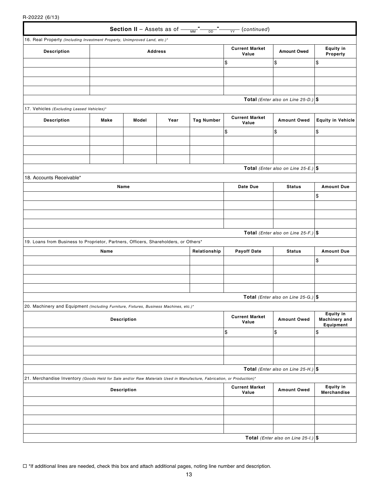R-20222 (6/13)

|                                                                                                                       |                    |       |      |                   | <b>Section II</b> - Assets as of $\frac{1}{\sqrt{M}}$ - $\frac{1}{\sqrt{M}}$ - $\frac{1}{\sqrt{M}}$ (continued) |                                                |                                                       |  |
|-----------------------------------------------------------------------------------------------------------------------|--------------------|-------|------|-------------------|-----------------------------------------------------------------------------------------------------------------|------------------------------------------------|-------------------------------------------------------|--|
| 16. Real Property (Including Investment Property, Unimproved Land, etc.)*                                             |                    |       |      |                   |                                                                                                                 |                                                |                                                       |  |
| <b>Description</b>                                                                                                    | <b>Address</b>     |       |      |                   | <b>Current Market</b><br>Value                                                                                  | <b>Amount Owed</b>                             | <b>Equity in</b><br>Property                          |  |
|                                                                                                                       |                    |       |      |                   | \$                                                                                                              | \$                                             | \$                                                    |  |
|                                                                                                                       |                    |       |      |                   |                                                                                                                 |                                                |                                                       |  |
|                                                                                                                       |                    |       |      |                   |                                                                                                                 |                                                |                                                       |  |
|                                                                                                                       |                    |       |      |                   |                                                                                                                 |                                                |                                                       |  |
|                                                                                                                       |                    |       |      |                   |                                                                                                                 | <b>Total</b> (Enter also on Line 25-D.) $\$    |                                                       |  |
| 17. Vehicles (Excluding Leased Vehicles)*                                                                             |                    |       |      |                   |                                                                                                                 |                                                |                                                       |  |
| <b>Description</b>                                                                                                    | Make               | Model | Year | <b>Tag Number</b> | <b>Current Market</b><br>Value                                                                                  | <b>Amount Owed</b>                             | <b>Equity in Vehicle</b>                              |  |
|                                                                                                                       |                    |       |      |                   | \$                                                                                                              | \$                                             | \$                                                    |  |
|                                                                                                                       |                    |       |      |                   |                                                                                                                 |                                                |                                                       |  |
|                                                                                                                       |                    |       |      |                   |                                                                                                                 |                                                |                                                       |  |
|                                                                                                                       |                    |       |      |                   |                                                                                                                 |                                                |                                                       |  |
|                                                                                                                       |                    |       |      |                   |                                                                                                                 | <b>Total</b> (Enter also on Line 25-E.) $ \$$  |                                                       |  |
| 18. Accounts Receivable*                                                                                              |                    |       |      |                   |                                                                                                                 |                                                |                                                       |  |
|                                                                                                                       | Name               |       |      |                   | Date Due                                                                                                        | <b>Status</b>                                  | <b>Amount Due</b>                                     |  |
|                                                                                                                       |                    |       |      |                   |                                                                                                                 |                                                | \$                                                    |  |
|                                                                                                                       |                    |       |      |                   |                                                                                                                 |                                                |                                                       |  |
|                                                                                                                       |                    |       |      |                   |                                                                                                                 |                                                |                                                       |  |
|                                                                                                                       |                    |       |      |                   |                                                                                                                 |                                                |                                                       |  |
| 19. Loans from Business to Proprietor, Partners, Officers, Shareholders, or Others*                                   |                    |       |      |                   |                                                                                                                 | Total (Enter also on Line 25-F.) $ \$$         |                                                       |  |
|                                                                                                                       | Name               |       |      | Relationship      | <b>Payoff Date</b>                                                                                              | <b>Status</b>                                  | <b>Amount Due</b>                                     |  |
|                                                                                                                       |                    |       |      |                   |                                                                                                                 |                                                | \$                                                    |  |
|                                                                                                                       |                    |       |      |                   |                                                                                                                 |                                                |                                                       |  |
|                                                                                                                       |                    |       |      |                   |                                                                                                                 |                                                |                                                       |  |
|                                                                                                                       |                    |       |      |                   |                                                                                                                 |                                                |                                                       |  |
|                                                                                                                       |                    |       |      |                   | Total (Enter also on Line 25-G.) $\vert \$                                                                      |                                                |                                                       |  |
| 20. Machinery and Equipment (Including Furniture, Fixtures, Business Machines, etc.)*                                 |                    |       |      |                   |                                                                                                                 |                                                |                                                       |  |
|                                                                                                                       | <b>Description</b> |       |      |                   | <b>Current Market</b><br>Value                                                                                  | <b>Amount Owed</b>                             | <b>Equity in</b><br><b>Machinery</b> and<br>Equipment |  |
|                                                                                                                       |                    |       |      |                   | \$                                                                                                              | \$                                             | \$                                                    |  |
|                                                                                                                       |                    |       |      |                   |                                                                                                                 |                                                |                                                       |  |
|                                                                                                                       |                    |       |      |                   |                                                                                                                 |                                                |                                                       |  |
|                                                                                                                       |                    |       |      |                   |                                                                                                                 |                                                |                                                       |  |
|                                                                                                                       |                    |       |      |                   |                                                                                                                 | <b>Total</b> (Enter also on Line 25-H.) $\$    |                                                       |  |
| 21. Merchandise Inventory (Goods Held for Sale and/or Raw Materials Used in Manufacture, Fabrication, or Production)* |                    |       |      |                   |                                                                                                                 |                                                |                                                       |  |
|                                                                                                                       | <b>Description</b> |       |      |                   | <b>Current Market</b><br>Value                                                                                  | <b>Amount Owed</b>                             | <b>Equity in</b><br>Merchandise                       |  |
|                                                                                                                       |                    |       |      |                   |                                                                                                                 |                                                |                                                       |  |
|                                                                                                                       |                    |       |      |                   |                                                                                                                 |                                                |                                                       |  |
|                                                                                                                       |                    |       |      |                   |                                                                                                                 |                                                |                                                       |  |
|                                                                                                                       |                    |       |      |                   |                                                                                                                 |                                                |                                                       |  |
|                                                                                                                       |                    |       |      |                   |                                                                                                                 | <b>Total</b> (Enter also on Line 25-1.) $\int$ |                                                       |  |

 $\Box$  \*If additional lines are needed, check this box and attach additional pages, noting line number and description.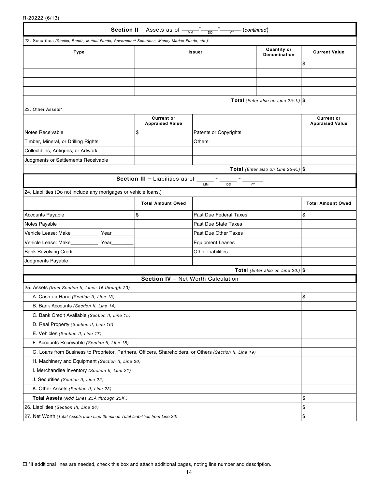R-20222 (6/13)

| <b>Section II</b> – Assets as of $\frac{1}{M}$ – $\frac{1}{D}$ – $\frac{1}{YY}$ (continued)             |                                                                            |                                                                             |                                        |                                             |  |
|---------------------------------------------------------------------------------------------------------|----------------------------------------------------------------------------|-----------------------------------------------------------------------------|----------------------------------------|---------------------------------------------|--|
| 22. Securities (Stocks, Bonds, Mutual Funds, Government Securities, Money Market Funds, etc.)*          |                                                                            |                                                                             |                                        |                                             |  |
| <b>Type</b>                                                                                             | <b>Quantity or</b><br><b>Issuer</b><br>Denomination                        |                                                                             | <b>Current Value</b>                   |                                             |  |
|                                                                                                         |                                                                            |                                                                             |                                        | \$                                          |  |
|                                                                                                         |                                                                            |                                                                             |                                        |                                             |  |
|                                                                                                         |                                                                            |                                                                             |                                        |                                             |  |
|                                                                                                         |                                                                            |                                                                             |                                        |                                             |  |
|                                                                                                         |                                                                            |                                                                             | Total (Enter also on Line 25-J.) $\$   |                                             |  |
| 23. Other Assets*                                                                                       |                                                                            |                                                                             |                                        |                                             |  |
|                                                                                                         | <b>Current or</b><br><b>Appraised Value</b>                                |                                                                             |                                        | <b>Current or</b><br><b>Appraised Value</b> |  |
| <b>Notes Receivable</b>                                                                                 | \$                                                                         | Patents or Copyrights                                                       |                                        |                                             |  |
| Timber, Mineral, or Drilling Rights                                                                     |                                                                            | Others:                                                                     |                                        |                                             |  |
| Collectibles, Antiques, or Artwork                                                                      |                                                                            |                                                                             |                                        |                                             |  |
| Judgments or Settlements Receivable                                                                     |                                                                            |                                                                             |                                        |                                             |  |
|                                                                                                         |                                                                            |                                                                             | Total (Enter also on Line 25-K.) $ \$$ |                                             |  |
|                                                                                                         | <b>Section III - Liabilities as of <math>\overline{\phantom{a}}</math></b> | $\mathcal{L}_{\text{max}}$ and $\mathcal{L}_{\text{max}}$<br>DD<br>MM<br>YY |                                        |                                             |  |
| 24. Liabilities (Do not include any mortgages or vehicle loans.)                                        |                                                                            |                                                                             |                                        |                                             |  |
|                                                                                                         | <b>Total Amount Owed</b>                                                   |                                                                             |                                        | <b>Total Amount Owed</b>                    |  |
| <b>Accounts Payable</b>                                                                                 | \$<br>Past Due Federal Taxes                                               |                                                                             | \$                                     |                                             |  |
| Notes Payable                                                                                           |                                                                            | <b>Past Due State Taxes</b>                                                 |                                        |                                             |  |
| Vehicle Lease: Make<br>Year                                                                             |                                                                            | Past Due Other Taxes                                                        |                                        |                                             |  |
| Vehicle Lease: Make_<br>Year                                                                            |                                                                            | <b>Equipment Leases</b>                                                     |                                        |                                             |  |
| <b>Bank Revolving Credit</b>                                                                            | Other Liabilities:                                                         |                                                                             |                                        |                                             |  |
| Judgments Payable                                                                                       |                                                                            |                                                                             |                                        |                                             |  |
|                                                                                                         |                                                                            |                                                                             | Total (Enter also on Line 26.) $\$     |                                             |  |
|                                                                                                         | Section IV - Net Worth Calculation                                         |                                                                             |                                        |                                             |  |
| 25. Assets (from Section II, Lines 16 through 23)                                                       |                                                                            |                                                                             |                                        |                                             |  |
| A. Cash on Hand (Section II, Line 13)                                                                   |                                                                            |                                                                             |                                        | \$.                                         |  |
| B. Bank Accounts (Section II, Line 14)                                                                  |                                                                            |                                                                             |                                        |                                             |  |
| C. Bank Credit Available (Section II, Line 15)                                                          |                                                                            |                                                                             |                                        |                                             |  |
| D. Real Property (Section II, Line 16)                                                                  |                                                                            |                                                                             |                                        |                                             |  |
| E. Vehicles (Section II, Line 17)                                                                       |                                                                            |                                                                             |                                        |                                             |  |
| F. Accounts Receivable (Section II, Line 18)                                                            |                                                                            |                                                                             |                                        |                                             |  |
| G. Loans from Business to Proprietor, Partners, Officers, Shareholders, or Others (Section II, Line 19) |                                                                            |                                                                             |                                        |                                             |  |
| H. Machinery and Equipment (Section II, Line 20)                                                        |                                                                            |                                                                             |                                        |                                             |  |
| I. Merchandise Inventory (Section II, Line 21)                                                          |                                                                            |                                                                             |                                        |                                             |  |
| J. Securities (Section II, Line 22)                                                                     |                                                                            |                                                                             |                                        |                                             |  |
| K. Other Assets (Section II, Line 23)                                                                   |                                                                            |                                                                             |                                        |                                             |  |
| Total Assets (Add Lines 25A through 25K.)                                                               |                                                                            |                                                                             |                                        | \$                                          |  |
| 26. Liabilities (Section III, Line 24)                                                                  |                                                                            |                                                                             |                                        | \$                                          |  |
| 27. Net Worth (Total Assets from Line 25 minus Total Liabilities from Line 26)                          |                                                                            |                                                                             |                                        | \$                                          |  |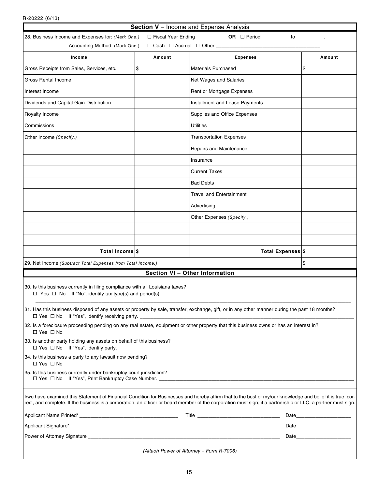R-20222 (6/13)

| Section V - Income and Expense Analysis                                                                                                              |        |                                                                                                                                                                                                                                                                                                                            |      |  |
|------------------------------------------------------------------------------------------------------------------------------------------------------|--------|----------------------------------------------------------------------------------------------------------------------------------------------------------------------------------------------------------------------------------------------------------------------------------------------------------------------------|------|--|
| □ Fiscal Year Ending ______________ OR □ Period ___________ to __________<br>28. Business Income and Expenses for: (Mark One.)                       |        |                                                                                                                                                                                                                                                                                                                            |      |  |
| Accounting Method: (Mark One.)<br>$\Box$ Cash $\Box$ Accrual $\Box$ Other _____                                                                      |        |                                                                                                                                                                                                                                                                                                                            |      |  |
| Income                                                                                                                                               | Amount | <b>Expenses</b><br>Amount                                                                                                                                                                                                                                                                                                  |      |  |
| Gross Receipts from Sales, Services, etc.                                                                                                            | \$     | <b>Materials Purchased</b>                                                                                                                                                                                                                                                                                                 | \$   |  |
| Gross Rental Income                                                                                                                                  |        | Net Wages and Salaries                                                                                                                                                                                                                                                                                                     |      |  |
| Interest Income                                                                                                                                      |        | Rent or Mortgage Expenses                                                                                                                                                                                                                                                                                                  |      |  |
| Dividends and Capital Gain Distribution                                                                                                              |        | Installment and Lease Payments                                                                                                                                                                                                                                                                                             |      |  |
| Royalty Income                                                                                                                                       |        | Supplies and Office Expenses                                                                                                                                                                                                                                                                                               |      |  |
| Commissions                                                                                                                                          |        | <b>Utilities</b>                                                                                                                                                                                                                                                                                                           |      |  |
| Other Income (Specify.)                                                                                                                              |        | <b>Transportation Expenses</b>                                                                                                                                                                                                                                                                                             |      |  |
|                                                                                                                                                      |        | Repairs and Maintenance                                                                                                                                                                                                                                                                                                    |      |  |
|                                                                                                                                                      |        | Insurance                                                                                                                                                                                                                                                                                                                  |      |  |
|                                                                                                                                                      |        | <b>Current Taxes</b>                                                                                                                                                                                                                                                                                                       |      |  |
|                                                                                                                                                      |        | <b>Bad Debts</b>                                                                                                                                                                                                                                                                                                           |      |  |
|                                                                                                                                                      |        | Travel and Entertainment                                                                                                                                                                                                                                                                                                   |      |  |
|                                                                                                                                                      |        | Advertising                                                                                                                                                                                                                                                                                                                |      |  |
|                                                                                                                                                      |        | Other Expenses (Specify.)                                                                                                                                                                                                                                                                                                  |      |  |
|                                                                                                                                                      |        |                                                                                                                                                                                                                                                                                                                            |      |  |
|                                                                                                                                                      |        |                                                                                                                                                                                                                                                                                                                            |      |  |
| Total Income \$                                                                                                                                      |        | Total Expenses \$                                                                                                                                                                                                                                                                                                          |      |  |
| 29. Net Income (Subtract Total Expenses from Total Income.)                                                                                          | \$     |                                                                                                                                                                                                                                                                                                                            |      |  |
|                                                                                                                                                      |        | Section VI - Other Information                                                                                                                                                                                                                                                                                             |      |  |
| 30. Is this business currently in filing compliance with all Louisiana taxes?<br>$\Box$ Yes $\Box$ No If "No", identify tax type(s) and period(s). _ |        |                                                                                                                                                                                                                                                                                                                            |      |  |
|                                                                                                                                                      |        |                                                                                                                                                                                                                                                                                                                            |      |  |
| $\Box$ Yes $\Box$ No If "Yes", identify receiving party.                                                                                             |        | 31. Has this business disposed of any assets or property by sale, transfer, exchange, gift, or in any other manner during the past 18 months?                                                                                                                                                                              |      |  |
| $\Box$ Yes $\Box$ No                                                                                                                                 |        | 32. Is a foreclosure proceeding pending on any real estate, equipment or other property that this business owns or has an interest in?                                                                                                                                                                                     |      |  |
| 33. Is another party holding any assets on behalf of this business?                                                                                  |        |                                                                                                                                                                                                                                                                                                                            |      |  |
| 34. Is this business a party to any lawsuit now pending?<br>$\Box$ Yes $\Box$ No                                                                     |        |                                                                                                                                                                                                                                                                                                                            |      |  |
| 35. Is this business currently under bankruptcy court jurisdiction?                                                                                  |        |                                                                                                                                                                                                                                                                                                                            |      |  |
|                                                                                                                                                      |        | I/we have examined this Statement of Financial Condition for Businesses and hereby affirm that to the best of my/our knowledge and belief it is true, cor-<br>rect, and complete. If the business is a corporation, an officer or board member of the corporation must sign; if a partnership or LLC, a partner must sign. |      |  |
|                                                                                                                                                      |        |                                                                                                                                                                                                                                                                                                                            |      |  |
|                                                                                                                                                      |        |                                                                                                                                                                                                                                                                                                                            |      |  |
|                                                                                                                                                      |        |                                                                                                                                                                                                                                                                                                                            | Date |  |

*(Attach Power of Attorney – Form R-7006)*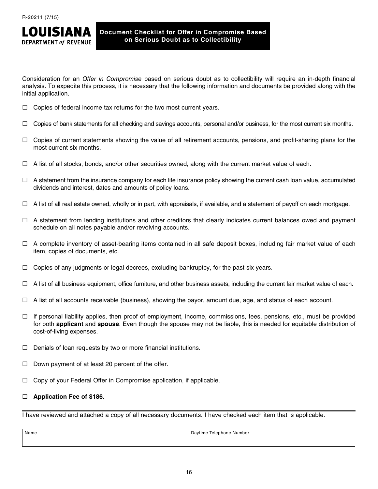

Consideration for an *Offer in Compromise* based on serious doubt as to collectibility will require an in-depth financial analysis. To expedite this process, it is necessary that the following information and documents be provided along with the initial application.

- $\Box$  Copies of federal income tax returns for the two most current years.
- $\Box$  Copies of bank statements for all checking and savings accounts, personal and/or business, for the most current six months.
- $\Box$  Copies of current statements showing the value of all retirement accounts, pensions, and profit-sharing plans for the most current six months.
- $\Box$  A list of all stocks, bonds, and/or other securities owned, along with the current market value of each.
- $\Box$  A statement from the insurance company for each life insurance policy showing the current cash loan value, accumulated dividends and interest, dates and amounts of policy loans.
- $\Box$  A list of all real estate owned, wholly or in part, with appraisals, if available, and a statement of payoff on each mortgage.
- $\Box$  A statement from lending institutions and other creditors that clearly indicates current balances owed and payment schedule on all notes payable and/or revolving accounts.
- $\Box$  A complete inventory of asset-bearing items contained in all safe deposit boxes, including fair market value of each item, copies of documents, etc.
- $\Box$  Copies of any judgments or legal decrees, excluding bankruptcy, for the past six years.
- $\Box$  A list of all business equipment, office furniture, and other business assets, including the current fair market value of each.
- $\Box$  A list of all accounts receivable (business), showing the payor, amount due, age, and status of each account.
- $\Box$  If personal liability applies, then proof of employment, income, commissions, fees, pensions, etc., must be provided for both **applicant** and **spouse**. Even though the spouse may not be liable, this is needed for equitable distribution of cost-of-living expenses.
- $\Box$  Denials of loan requests by two or more financial institutions.
- $\Box$  Down payment of at least 20 percent of the offer.
- $\Box$  Copy of your Federal Offer in Compromise application, if applicable.

# **Application Fee of \$186.**

I have reviewed and attached a copy of all necessary documents. I have checked each item that is applicable.

| Name | Daytime<br>Talanhona<br>Number |
|------|--------------------------------|
|      |                                |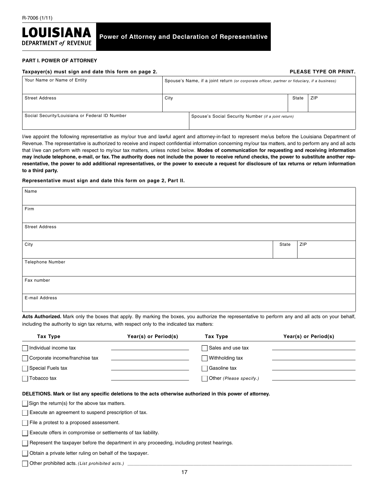

## **Power of Attorney and Declaration of Representative**

#### **PART I. POWER OF ATTORNEY**

| Taxpayer(s) must sign and date this form on page 2. |                                                                                              | PLEASE TYPE OR PRINT.                               |       |            |
|-----------------------------------------------------|----------------------------------------------------------------------------------------------|-----------------------------------------------------|-------|------------|
| Your Name or Name of Entity                         | Spouse's Name, if a joint return (or corporate officer, partner or fiduciary, if a business) |                                                     |       |            |
| <b>Street Address</b>                               | City                                                                                         |                                                     | State | <b>ZIP</b> |
| Social Security/Louisiana or Federal ID Number      |                                                                                              | Spouse's Social Security Number (if a joint return) |       |            |

I/we appoint the following representative as my/our true and lawful agent and attorney-in-fact to represent me/us before the Louisiana Department of Revenue. The representative is authorized to receive and inspect confidential information concerning my/our tax matters, and to perform any and all acts that I/we can perform with respect to my/our tax matters, unless noted below. **Modes of communication for requesting and receiving information may include telephone, e-mail, or fax. The authority does not include the power to receive refund checks, the power to substitute another representative, the power to add additional representatives, or the power to execute a request for disclosure of tax returns or return information to a third party.** 

#### **Representative must sign and date this form on page 2, Part II.**

| Name                  |       |     |
|-----------------------|-------|-----|
|                       |       |     |
| Firm                  |       |     |
|                       |       |     |
| <b>Street Address</b> |       |     |
|                       |       |     |
| City                  | State | ZIP |
|                       |       |     |
| Telephone Number      |       |     |
|                       |       |     |
| Fax number            |       |     |
|                       |       |     |
| E-mail Address        |       |     |
|                       |       |     |

**Acts Authorized.** Mark only the boxes that apply. By marking the boxes, you authorize the representative to perform any and all acts on your behalf, including the authority to sign tax returns, with respect only to the indicated tax matters:

| Tax Type                                                                                                                                                           | Year(s) or Period(s) | Tax Type                | Year(s) or Period(s) |  |
|--------------------------------------------------------------------------------------------------------------------------------------------------------------------|----------------------|-------------------------|----------------------|--|
| Individual income tax                                                                                                                                              |                      | Sales and use tax       |                      |  |
| Corporate income/franchise tax                                                                                                                                     |                      | Withholding tax         |                      |  |
| Special Fuels tax                                                                                                                                                  |                      | □ Gasoline tax          |                      |  |
| Tobacco tax                                                                                                                                                        |                      | Other (Please specify.) |                      |  |
| DELETIONS. Mark or list any specific deletions to the acts otherwise authorized in this power of attorney.<br>$\Box$ Sign the return(s) for the above tax matters. |                      |                         |                      |  |

 $\Box$  Execute an agreement to suspend prescription of tax.

 $\Box$  File a protest to a proposed assessment.

 $\Box$  Execute offers in compromise or settlements of tax liability.

 $\Box$  Represent the taxpayer before the department in any proceeding, including protest hearings.

 $\Box$  Obtain a private letter ruling on behalf of the taxpayer.

 $\Box$  Other prohibited acts. *(List prohibited acts.)*